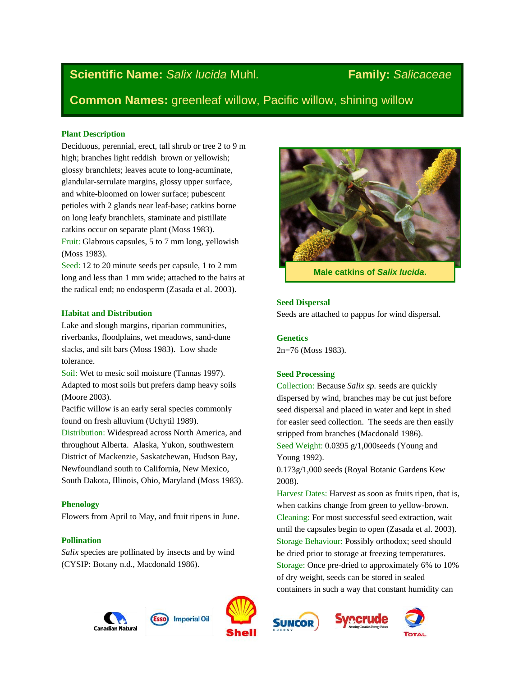# **Scientific Name:** *Salix lucida* Muhl*.* **Family:** *Salicaceae*

**Common Names:** greenleaf willow, Pacific willow, shining willow

#### **Plant Description**

Deciduous, perennial, erect, tall shrub or tree 2 to 9 m high; branches light reddish brown or yellowish; glossy branchlets; leaves acute to long-acuminate, glandular-serrulate margins, glossy upper surface, and white-bloomed on lower surface; pubescent petioles with 2 glands near leaf-base; catkins borne on long leafy branchlets, staminate and pistillate catkins occur on separate plant (Moss 1983).

Fruit: Glabrous capsules, 5 to 7 mm long, yellowish (Moss 1983).

Seed: 12 to 20 minute seeds per capsule, 1 to 2 mm long and less than 1 mm wide; attached to the hairs at the radical end; no endosperm (Zasada et al. 2003).

#### **Habitat and Distribution**

Lake and slough margins, riparian communities, riverbanks, floodplains, wet meadows, sand-dune slacks, and silt bars (Moss 1983). Low shade tolerance.

Soil: Wet to mesic soil moisture (Tannas 1997). Adapted to most soils but prefers damp heavy soils (Moore 2003).

Pacific willow is an early seral species commonly found on fresh alluvium (Uchytil 1989).

Distribution: Widespread across North America, and throughout Alberta. Alaska, Yukon, southwestern District of Mackenzie, Saskatchewan, Hudson Bay, Newfoundland south to California, New Mexico, South Dakota, Illinois, Ohio, Maryland (Moss 1983).

### **Phenology**

Flowers from April to May, and fruit ripens in June.

#### **Pollination**

*Salix* species are pollinated by insects and by wind (CYSIP: Botany n.d., Macdonald 1986).



**Male catkins of** *Salix lucida***.**

#### **Seed Dispersal**

Seeds are attached to pappus for wind dispersal.

**Genetics** 2n=76 (Moss 1983).

#### **Seed Processing**

Collection: Because *Salix sp.* seeds are quickly dispersed by wind, branches may be cut just before seed dispersal and placed in water and kept in shed for easier seed collection. The seeds are then easily stripped from branches (Macdonald 1986). Seed Weight: 0.0395 g/1,000seeds (Young and Young 1992).

0.173g/1,000 seeds (Royal Botanic Gardens Kew 2008).

Harvest Dates: Harvest as soon as fruits ripen, that is, when catkins change from green to yellow-brown. Cleaning: For most successful seed extraction, wait until the capsules begin to open (Zasada et al. 2003). Storage Behaviour: Possibly orthodox; seed should be dried prior to storage at freezing temperatures. Storage: Once pre-dried to approximately 6% to 10% of dry weight, seeds can be stored in sealed containers in such a way that constant humidity can









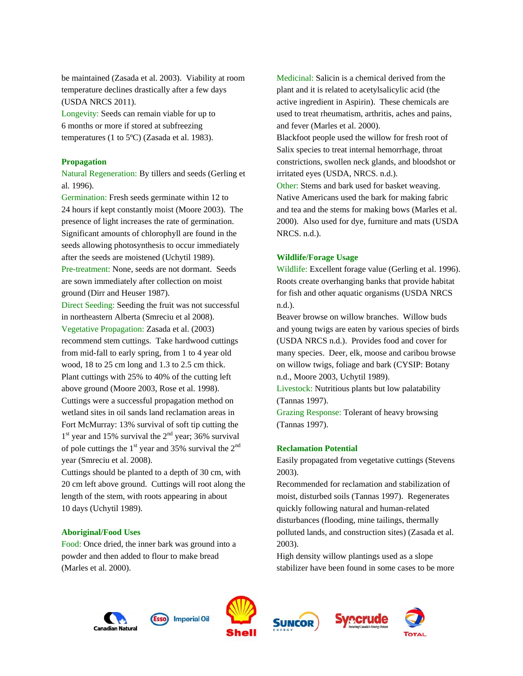be maintained (Zasada et al. 2003). Viability at room temperature declines drastically after a few days (USDA NRCS 2011).

Longevity: Seeds can remain viable for up to 6 months or more if stored at subfreezing temperatures (1 to 5ºC) (Zasada et al. 1983).

#### **Propagation**

Natural Regeneration: By tillers and seeds (Gerling et al*.* 1996).

Germination: Fresh seeds germinate within 12 to 24 hours if kept constantly moist (Moore 2003). The presence of light increases the rate of germination. Significant amounts of chlorophyll are found in the seeds allowing photosynthesis to occur immediately after the seeds are moistened (Uchytil 1989). Pre-treatment: None, seeds are not dormant. Seeds are sown immediately after collection on moist ground (Dirr and Heuser 1987).

Direct Seeding: Seeding the fruit was not successful in northeastern Alberta (Smreciu et al 2008).

Vegetative Propagation: Zasada et al. (2003) recommend stem cuttings. Take hardwood cuttings from mid-fall to early spring, from 1 to 4 year old wood, 18 to 25 cm long and 1.3 to 2.5 cm thick. Plant cuttings with 25% to 40% of the cutting left above ground (Moore 2003, Rose et al. 1998). Cuttings were a successful propagation method on wetland sites in oil sands land reclamation areas in Fort McMurray: 13% survival of soft tip cutting the  $1<sup>st</sup>$  year and 15% survival the  $2<sup>nd</sup>$  year; 36% survival of pole cuttings the  $1<sup>st</sup>$  year and 35% survival the  $2<sup>nd</sup>$ year (Smreciu et al. 2008).

Cuttings should be planted to a depth of 30 cm, with 20 cm left above ground. Cuttings will root along the length of the stem, with roots appearing in about 10 days (Uchytil 1989).

#### **Aboriginal/Food Uses**

Food: Once dried, the inner bark was ground into a powder and then added to flour to make bread (Marles et al. 2000).

Medicinal: Salicin is a chemical derived from the plant and it is related to acetylsalicylic acid (the active ingredient in Aspirin). These chemicals are used to treat rheumatism, arthritis, aches and pains, and fever (Marles et al. 2000).

Blackfoot people used the willow for fresh root of Salix species to treat internal hemorrhage, throat constrictions, swollen neck glands, and bloodshot or irritated eyes (USDA, NRCS. n.d.).

Other: Stems and bark used for basket weaving. Native Americans used the bark for making fabric and tea and the stems for making bows (Marles et al. 2000). Also used for dye, furniture and mats (USDA NRCS. n.d.).

#### **Wildlife/Forage Usage**

Wildlife: Excellent forage value (Gerling et al. 1996). Roots create overhanging banks that provide habitat for fish and other aquatic organisms (USDA NRCS n.d.).

Beaver browse on willow branches. Willow buds and young twigs are eaten by various species of birds (USDA NRCS n.d.). Provides food and cover for many species. Deer, elk, moose and caribou browse on willow twigs, foliage and bark (CYSIP: Botany n.d., Moore 2003, Uchytil 1989).

Livestock: Nutritious plants but low palatability (Tannas 1997).

Grazing Response: Tolerant of heavy browsing (Tannas 1997).

#### **Reclamation Potential**

Easily propagated from vegetative cuttings (Stevens 2003).

Recommended for reclamation and stabilization of moist, disturbed soils (Tannas 1997). Regenerates quickly following natural and human-related disturbances (flooding, mine tailings, thermally polluted lands, and construction sites) (Zasada et al. 2003).

High density willow plantings used as a slope stabilizer have been found in some cases to be more







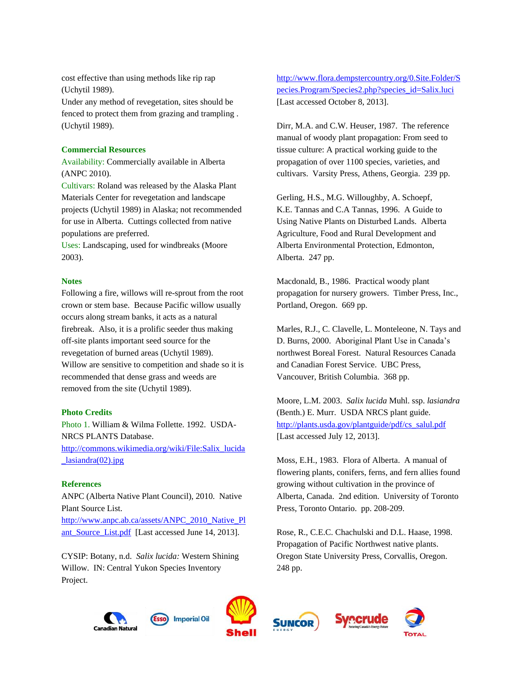cost effective than using methods like rip rap (Uchytil 1989).

Under any method of revegetation, sites should be fenced to protect them from grazing and trampling . (Uchytil 1989).

#### **Commercial Resources**

Availability: Commercially available in Alberta (ANPC 2010).

Cultivars: Roland was released by the Alaska Plant Materials Center for revegetation and landscape projects (Uchytil 1989) in Alaska; not recommended for use in Alberta. Cuttings collected from native populations are preferred.

Uses: Landscaping, used for windbreaks (Moore 2003).

### **Notes**

Following a fire, willows will re-sprout from the root crown or stem base. Because Pacific willow usually occurs along stream banks, it acts as a natural firebreak. Also, it is a prolific seeder thus making off-site plants important seed source for the revegetation of burned areas (Uchytil 1989). Willow are sensitive to competition and shade so it is recommended that dense grass and weeds are removed from the site (Uchytil 1989).

#### **Photo Credits**

Photo 1. William & Wilma Follette. 1992. USDA-NRCS PLANTS Database. [http://commons.wikimedia.org/wiki/File:Salix\\_lucida](http://commons.wikimedia.org/wiki/File:Salix_lucida_lasiandra(02).jpg) [\\_lasiandra\(02\).jpg](http://commons.wikimedia.org/wiki/File:Salix_lucida_lasiandra(02).jpg)

#### **References**

ANPC (Alberta Native Plant Council), 2010. Native Plant Source List. [http://www.anpc.ab.ca/assets/ANPC\\_2010\\_Native\\_Pl](http://www.anpc.ab.ca/assets/ANPC_2010_Native_Plant_Source_List.pdf)

[ant\\_Source\\_List.pdf](http://www.anpc.ab.ca/assets/ANPC_2010_Native_Plant_Source_List.pdf) [Last accessed June 14, 2013].

CYSIP: Botany, n.d. *Salix lucida:* Western Shining Willow. IN: Central Yukon Species Inventory Project.

## [http://www.flora.dempstercountry.org/0.Site.Folder/S](http://www.flora.dempstercountry.org/0.Site.Folder/Species.Program/Species2.php?species_id=Salix.luci) [pecies.Program/Species2.php?species\\_id=Salix.luci](http://www.flora.dempstercountry.org/0.Site.Folder/Species.Program/Species2.php?species_id=Salix.luci) [Last accessed October 8, 2013].

Dirr, M.A. and C.W. Heuser, 1987. The reference manual of woody plant propagation: From seed to tissue culture: A practical working guide to the propagation of over 1100 species, varieties, and cultivars. Varsity Press, Athens, Georgia. 239 pp.

Gerling, H.S., M.G. Willoughby, A. Schoepf, K.E. Tannas and C.A Tannas, 1996. A Guide to Using Native Plants on Disturbed Lands. Alberta Agriculture, Food and Rural Development and Alberta Environmental Protection, Edmonton, Alberta. 247 pp.

Macdonald, B., 1986. Practical woody plant propagation for nursery growers. Timber Press, Inc., Portland, Oregon. 669 pp.

Marles, R.J., C. Clavelle, L. Monteleone, N. Tays and D. Burns, 2000. Aboriginal Plant Use in Canada's northwest Boreal Forest. Natural Resources Canada and Canadian Forest Service. UBC Press, Vancouver, British Columbia. 368 pp.

Moore, L.M. 2003. *Salix lucida* Muhl. ssp. *lasiandra* (Benth.) E. Murr. USDA NRCS plant guide. [http://plants.usda.gov/plantguide/pdf/cs\\_salul.pdf](http://plants.usda.gov/plantguide/pdf/cs_salul.pdf) [Last accessed July 12, 2013].

Moss, E.H., 1983. Flora of Alberta. A manual of flowering plants, conifers, ferns, and fern allies found growing without cultivation in the province of Alberta, Canada. 2nd edition. University of Toronto Press, Toronto Ontario. pp. 208-209.

Rose, R., C.E.C. Chachulski and D.L. Haase, 1998. Propagation of Pacific Northwest native plants. Oregon State University Press, Corvallis, Oregon. 248 pp.





**Imperial Oil**